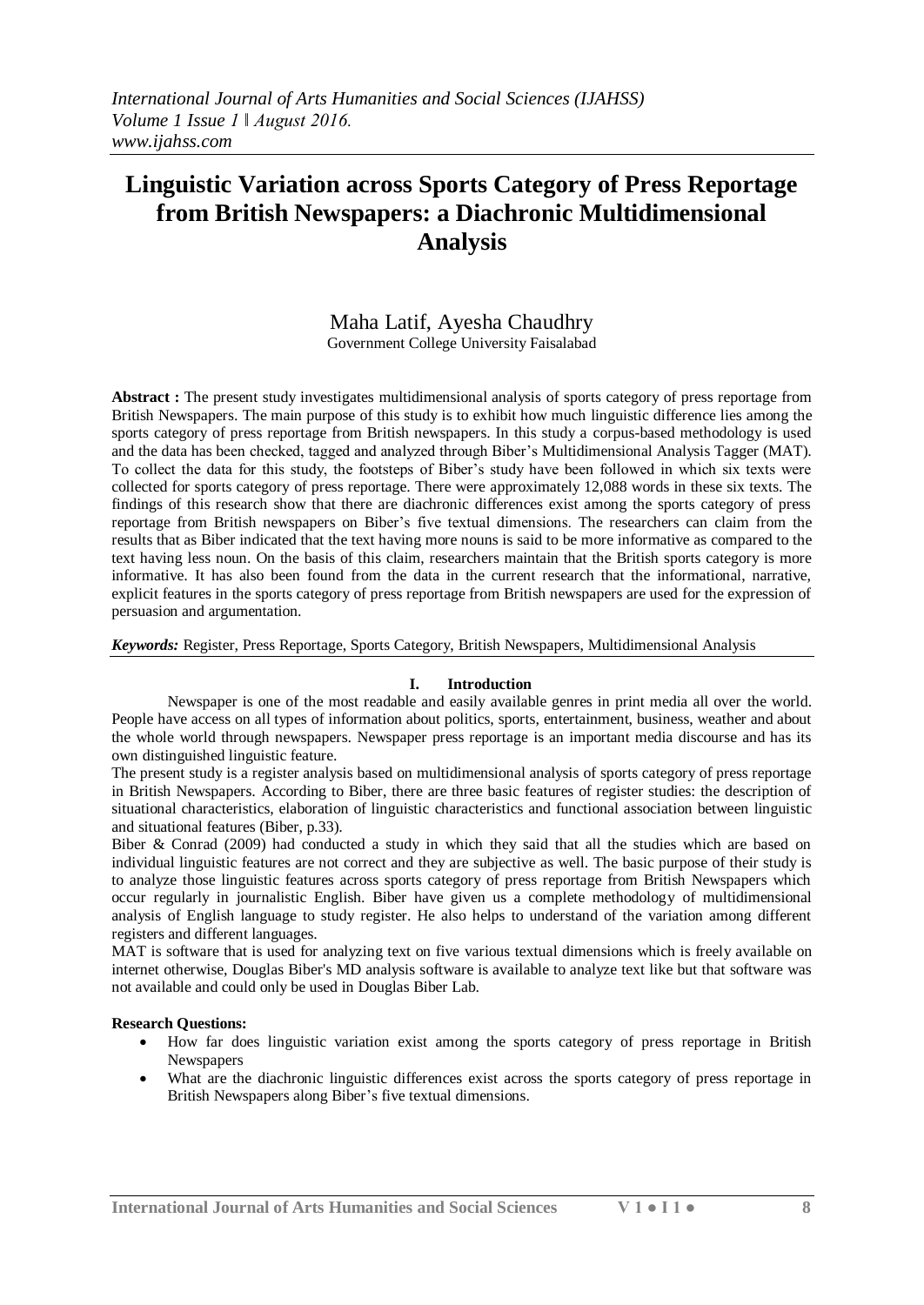# **Linguistic Variation across Sports Category of Press Reportage from British Newspapers: a Diachronic Multidimensional Analysis**

# Maha Latif, Ayesha Chaudhry Government College University Faisalabad

**Abstract :** The present study investigates multidimensional analysis of sports category of press reportage from British Newspapers. The main purpose of this study is to exhibit how much linguistic difference lies among the sports category of press reportage from British newspapers. In this study a corpus-based methodology is used and the data has been checked, tagged and analyzed through Biber's Multidimensional Analysis Tagger (MAT). To collect the data for this study, the footsteps of Biber's study have been followed in which six texts were collected for sports category of press reportage. There were approximately 12,088 words in these six texts. The findings of this research show that there are diachronic differences exist among the sports category of press reportage from British newspapers on Biber's five textual dimensions. The researchers can claim from the results that as Biber indicated that the text having more nouns is said to be more informative as compared to the text having less noun. On the basis of this claim, researchers maintain that the British sports category is more informative. It has also been found from the data in the current research that the informational, narrative, explicit features in the sports category of press reportage from British newspapers are used for the expression of persuasion and argumentation.

*Keywords:* Register, Press Reportage, Sports Category, British Newspapers, Multidimensional Analysis

## **I. Introduction**

Newspaper is one of the most readable and easily available genres in print media all over the world. People have access on all types of information about politics, sports, entertainment, business, weather and about the whole world through newspapers. Newspaper press reportage is an important media discourse and has its own distinguished linguistic feature.

The present study is a register analysis based on multidimensional analysis of sports category of press reportage in British Newspapers. According to Biber, there are three basic features of register studies: the description of situational characteristics, elaboration of linguistic characteristics and functional association between linguistic and situational features (Biber, p.33).

Biber & Conrad (2009) had conducted a study in which they said that all the studies which are based on individual linguistic features are not correct and they are subjective as well. The basic purpose of their study is to analyze those linguistic features across sports category of press reportage from British Newspapers which occur regularly in journalistic English. Biber have given us a complete methodology of multidimensional analysis of English language to study register. He also helps to understand of the variation among different registers and different languages.

MAT is software that is used for analyzing text on five various textual dimensions which is freely available on internet otherwise, Douglas Biber's MD analysis software is available to analyze text like but that software was not available and could only be used in Douglas Biber Lab.

## **Research Questions:**

- How far does linguistic variation exist among the sports category of press reportage in British Newspapers
- What are the diachronic linguistic differences exist across the sports category of press reportage in British Newspapers along Biber's five textual dimensions.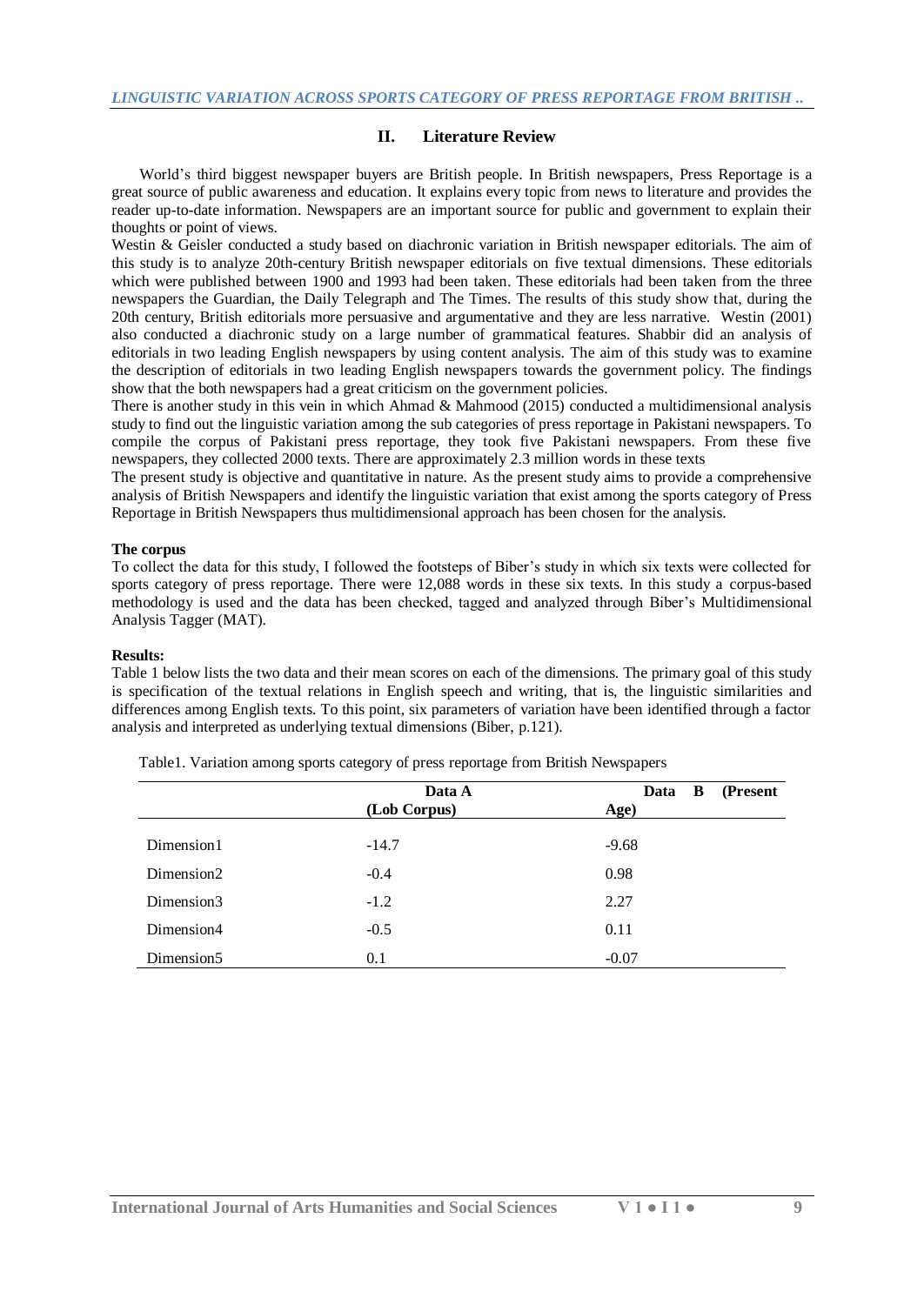## **II. Literature Review**

World's third biggest newspaper buyers are British people. In British newspapers, Press Reportage is a great source of public awareness and education. It explains every topic from news to literature and provides the reader up-to-date information. Newspapers are an important source for public and government to explain their thoughts or point of views.

Westin & Geisler conducted a study based on diachronic variation in British newspaper editorials. The aim of this study is to analyze 20th-century British newspaper editorials on five textual dimensions. These editorials which were published between 1900 and 1993 had been taken. These editorials had been taken from the three newspapers the Guardian, the Daily Telegraph and The Times. The results of this study show that, during the 20th century, British editorials more persuasive and argumentative and they are less narrative. Westin (2001) also conducted a diachronic study on a large number of grammatical features. Shabbir did an analysis of editorials in two leading English newspapers by using content analysis. The aim of this study was to examine the description of editorials in two leading English newspapers towards the government policy. The findings show that the both newspapers had a great criticism on the government policies.

There is another study in this vein in which Ahmad & Mahmood (2015) conducted a multidimensional analysis study to find out the linguistic variation among the sub categories of press reportage in Pakistani newspapers. To compile the corpus of Pakistani press reportage, they took five Pakistani newspapers. From these five newspapers, they collected 2000 texts. There are approximately 2.3 million words in these texts

The present study is objective and quantitative in nature. As the present study aims to provide a comprehensive analysis of British Newspapers and identify the linguistic variation that exist among the sports category of Press Reportage in British Newspapers thus multidimensional approach has been chosen for the analysis.

#### **The corpus**

To collect the data for this study, I followed the footsteps of Biber's study in which six texts were collected for sports category of press reportage. There were 12,088 words in these six texts. In this study a corpus-based methodology is used and the data has been checked, tagged and analyzed through Biber's Multidimensional Analysis Tagger (MAT).

#### **Results:**

Table 1 below lists the two data and their mean scores on each of the dimensions. The primary goal of this study is specification of the textual relations in English speech and writing, that is, the linguistic similarities and differences among English texts. To this point, six parameters of variation have been identified through a factor analysis and interpreted as underlying textual dimensions (Biber, p.121).

|                        | Data A       | B<br>(Present<br>Data |
|------------------------|--------------|-----------------------|
|                        | (Lob Corpus) | Age)                  |
| Dimension1             | $-14.7$      | $-9.68$               |
| Dimension2             | $-0.4$       | 0.98                  |
| Dimension3             | $-1.2$       | 2.27                  |
| Dimension4             | $-0.5$       | 0.11                  |
| Dimension <sub>5</sub> | 0.1          | $-0.07$               |

Table1. Variation among sports category of press reportage from British Newspapers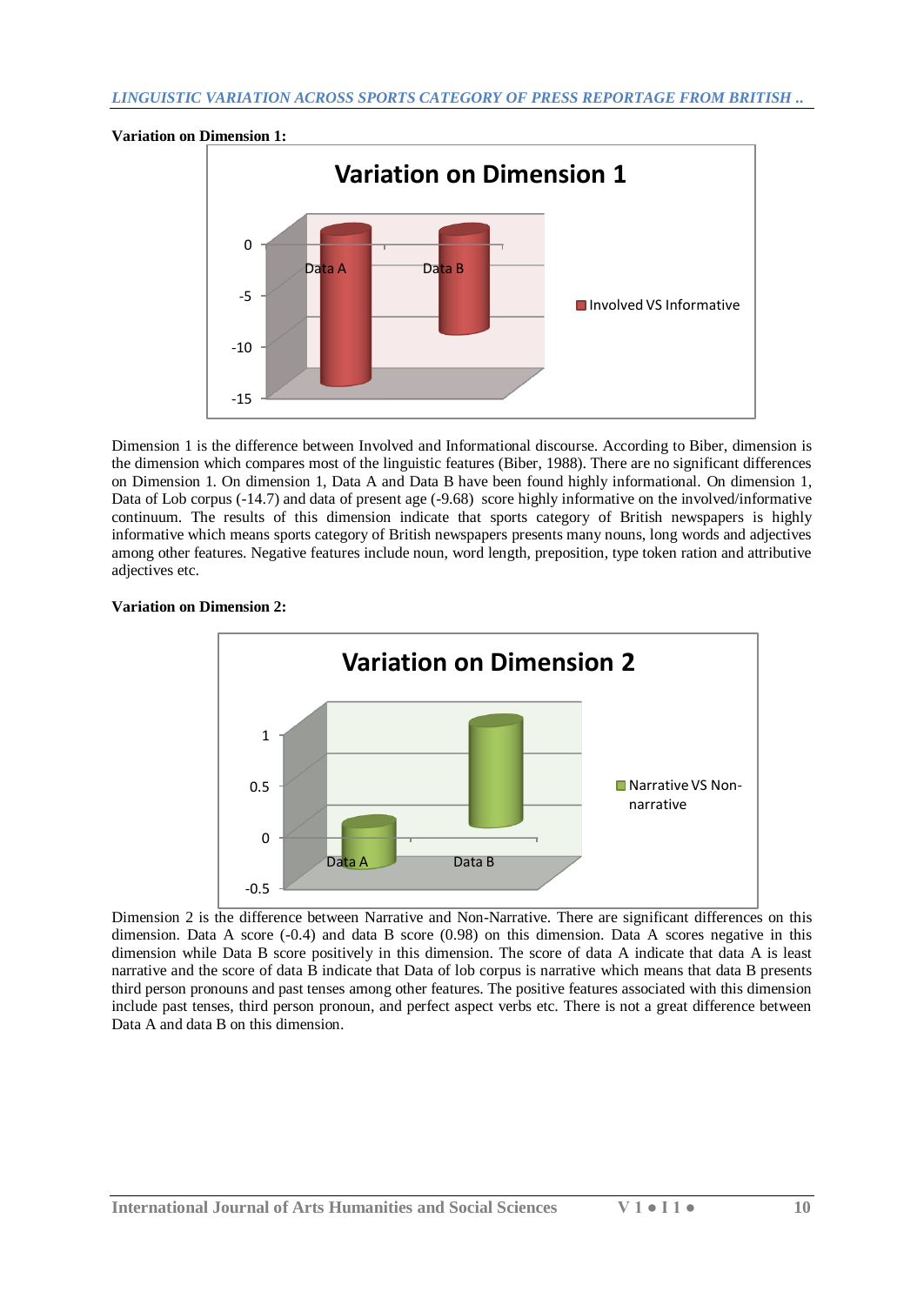

Dimension 1 is the difference between Involved and Informational discourse. According to Biber, dimension is the dimension which compares most of the linguistic features (Biber, 1988). There are no significant differences on Dimension 1. On dimension 1, Data A and Data B have been found highly informational. On dimension 1, Data of Lob corpus (-14.7) and data of present age (-9.68) score highly informative on the involved/informative continuum. The results of this dimension indicate that sports category of British newspapers is highly informative which means sports category of British newspapers presents many nouns, long words and adjectives among other features. Negative features include noun, word length, preposition, type token ration and attributive adjectives etc.

# **Variation on Dimension 2:**



Dimension 2 is the difference between Narrative and Non-Narrative. There are significant differences on this dimension. Data A score (-0.4) and data B score (0.98) on this dimension. Data A scores negative in this dimension while Data B score positively in this dimension. The score of data A indicate that data A is least narrative and the score of data B indicate that Data of lob corpus is narrative which means that data B presents third person pronouns and past tenses among other features. The positive features associated with this dimension include past tenses, third person pronoun, and perfect aspect verbs etc. There is not a great difference between Data A and data B on this dimension.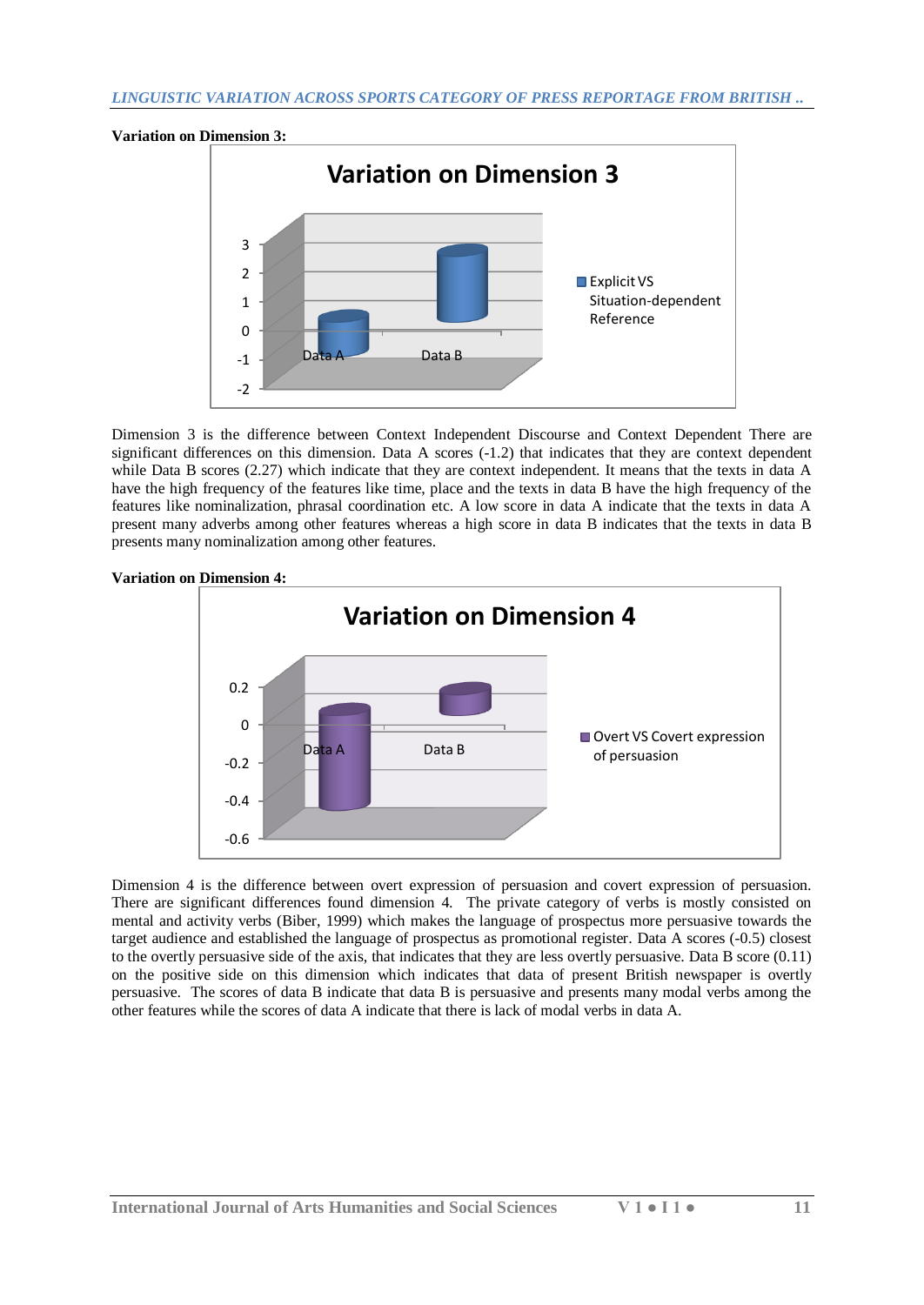

Dimension 3 is the difference between Context Independent Discourse and Context Dependent There are significant differences on this dimension. Data A scores (-1.2) that indicates that they are context dependent while Data B scores (2.27) which indicate that they are context independent. It means that the texts in data A have the high frequency of the features like time, place and the texts in data B have the high frequency of the features like nominalization, phrasal coordination etc. A low score in data A indicate that the texts in data A present many adverbs among other features whereas a high score in data B indicates that the texts in data B presents many nominalization among other features.



Dimension 4 is the difference between overt expression of persuasion and covert expression of persuasion. There are significant differences found dimension 4. The private category of verbs is mostly consisted on mental and activity verbs (Biber, 1999) which makes the language of prospectus more persuasive towards the target audience and established the language of prospectus as promotional register. Data A scores (-0.5) closest to the overtly persuasive side of the axis, that indicates that they are less overtly persuasive. Data B score (0.11) on the positive side on this dimension which indicates that data of present British newspaper is overtly persuasive. The scores of data B indicate that data B is persuasive and presents many modal verbs among the other features while the scores of data A indicate that there is lack of modal verbs in data A.

#### **Variation on Dimension 4:**